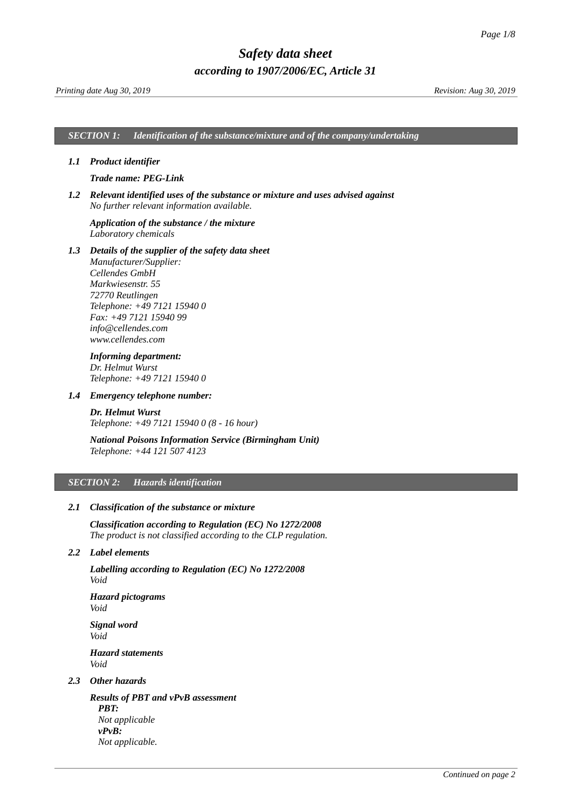*SECTION 1: Identification of the substance/mixture and of the company/undertaking*

### *1.1 Product identifier*

### <span id="page-0-0"></span>*Trade name: PEG-Link*

*1.2 Relevant identified uses of the substance or mixture and uses advised against No further relevant information available.*

### *Application of the substance / the mixture Laboratory chemicals*

*1.3 Details of the supplier of the safety data sheet Manufacturer/Supplier: Cellendes GmbH Markwiesenstr. 55 72770 Reutlingen Telephone: +49 7121 15940 0 Fax: +49 7121 15940 99 info@cellendes.com www.cellendes.com*

### *Informing department:*

*Dr. Helmut Wurst Telephone: +49 7121 15940 0*

#### *1.4 Emergency telephone number:*

*Dr. Helmut Wurst Telephone: +49 7121 15940 0 (8 - 16 hour)*

## *National Poisons Information Service (Birmingham Unit) Telephone: +44 121 507 4123*

### *SECTION 2: Hazards identification*

### *2.1 Classification of the substance or mixture*

*Classification according to Regulation (EC) No 1272/2008 The product is not classified according to the CLP regulation.*

### *2.2 Label elements*

*Labelling according to Regulation (EC) No 1272/2008 Void*

*Hazard pictograms Void*

*Signal word Void Hazard statements Void*

## *2.3 Other hazards*

*Results of PBT and vPvB assessment PBT: Not applicable vPvB: Not applicable.*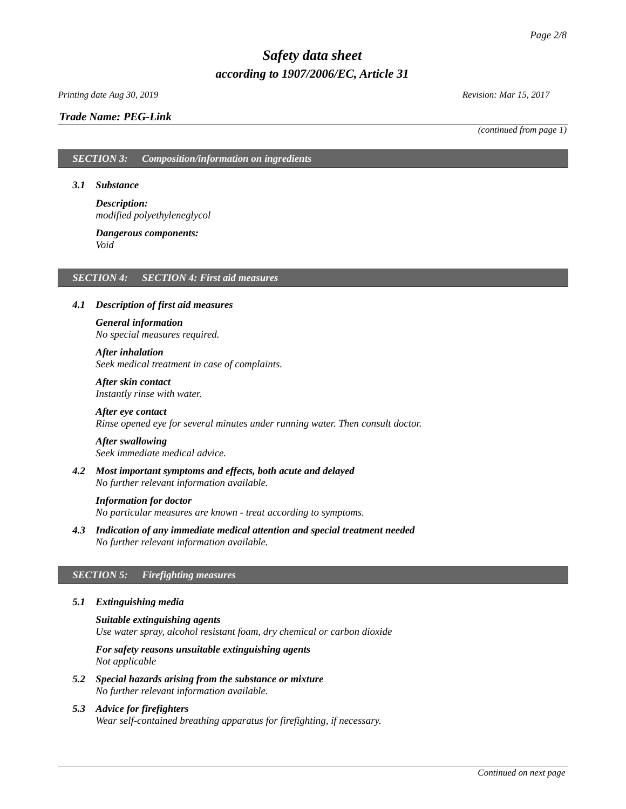### *Printing date Aug 30, 2019 Revision: Mar 15, 2017*

### *Trade Name: [PEG-Link](#page-0-0)*

*(continued from page 1)*

### *SECTION 3: Composition/information on ingredients*

#### *3.1 Substance*

*Description: modified polyethyleneglycol*

#### *Dangerous components: Void*

### *SECTION 4: SECTION 4: First aid measures*

### *4.1 Description of first aid measures*

# *General information No special measures required.*

# *After inhalation*

*Seek medical treatment in case of complaints.*

*After skin contact Instantly rinse with water.*

### *After eye contact Rinse opened eye for several minutes under running water. Then consult doctor.*

# *After swallowing*

*Seek immediate medical advice.*

*4.2 Most important symptoms and effects, both acute and delayed No further relevant information available.*

#### *Information for doctor*

*No particular measures are known - treat according to symptoms.*

*4.3 Indication of any immediate medical attention and special treatment needed No further relevant information available.*

### *SECTION 5: Firefighting measures*

## *5.1 Extinguishing media*

*Suitable extinguishing agents Use water spray, alcohol resistant foam, dry chemical or carbon dioxide*

*For safety reasons unsuitable extinguishing agents Not applicable*

- *5.2 Special hazards arising from the substance or mixture No further relevant information available.*
- *5.3 Advice for firefighters Wear self-contained breathing apparatus for firefighting, if necessary.*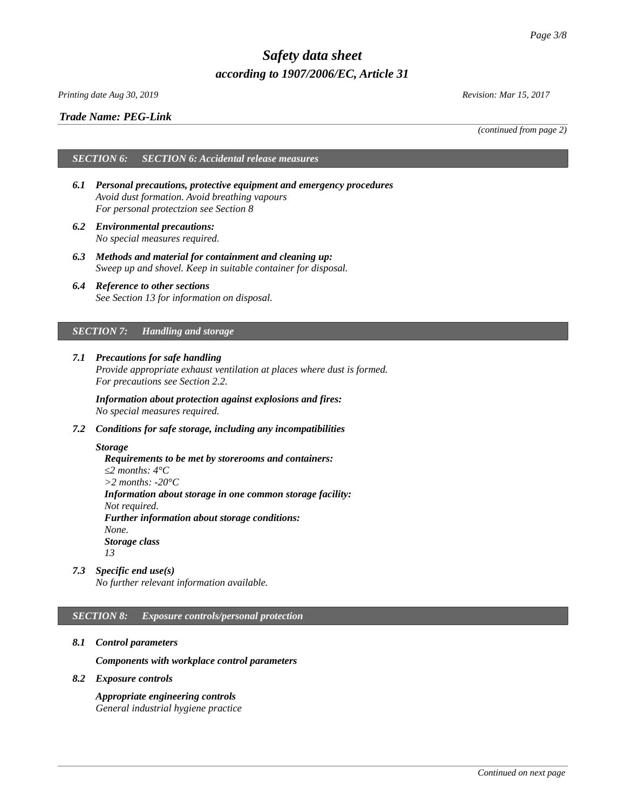*Printing date Aug 30, 2019 Revision: Mar 15, 2017*

### *Trade Name: [PEG-Link](#page-0-0)*

*(continued from page 2)*

# *SECTION 6: SECTION 6: Accidental release measures*

- *6.1 Personal precautions, protective equipment and emergency procedures Avoid dust formation. Avoid breathing vapours For personal protectzion see Section 8*
- *6.2 Environmental precautions: No special measures required.*
- *6.3 Methods and material for containment and cleaning up: Sweep up and shovel. Keep in suitable container for disposal.*
- *6.4 Reference to other sections See Section 13 for information on disposal.*

## *SECTION 7: Handling and storage*

*7.1 Precautions for safe handling Provide appropriate exhaust ventilation at places where dust is formed. For precautions see Section 2.2.*

*Information about protection against explosions and fires: No special measures required.*

*7.2 Conditions for safe storage, including any incompatibilities*

### *Storage*

*Requirements to be met by storerooms and containers: ≤2 months: 4°C >2 months: -20°C Information about storage in one common storage facility: Not required. Further information about storage conditions: None. Storage class 13*

*7.3 Specific end use(s)*

*No further relevant information available.*

## *SECTION 8: Exposure controls/personal protection*

*8.1 Control parameters*

*Components with workplace control parameters*

*8.2 Exposure controls*

*Appropriate engineering controls General industrial hygiene practice*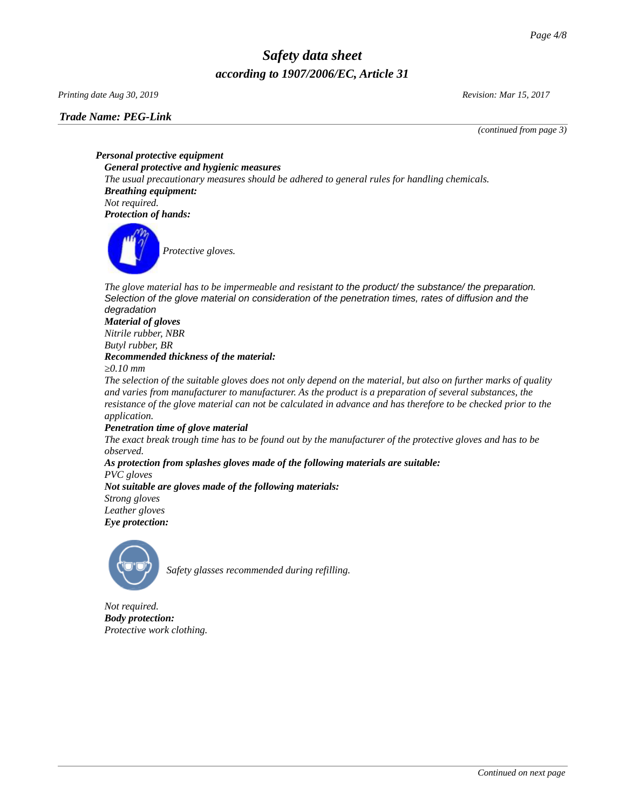*Printing date Aug 30, 2019 Revision: Mar 15, 2017*

*(continued from page 3)*

*Personal protective equipment General protective and hygienic measures The usual precautionary measures should be adhered to general rules for handling chemicals. Breathing equipment: Not required. Protection of hands:*



*Protective gloves.*

The glove material has to be impermeable and resistant to the product/ the substance/ the preparation. *Selection of the glove material on consideration of the penetration times, rates of diffusion and the degradation*

### *Material of gloves Nitrile rubber, NBR Butyl rubber, BR Recommended thickness of the material:*

*≥0.10 mm*

*The selection of the suitable gloves does not only depend on the material, but also on further marks of quality and varies from manufacturer to manufacturer. As the product is a preparation of several substances, the resistance of the glove material can not be calculated in advance and has therefore to be checked prior to the application.*

# *Penetration time of glove material*

*The exact break trough time has to be found out by the manufacturer of the protective gloves and has to be observed.*

### *As protection from splashes gloves made of the following materials are suitable: PVC gloves Not suitable are gloves made of the following materials:*

*Strong gloves Leather gloves*

*Eye protection:*



*Safety glasses recommended during refilling.*

*Not required. Body protection: Protective work clothing.*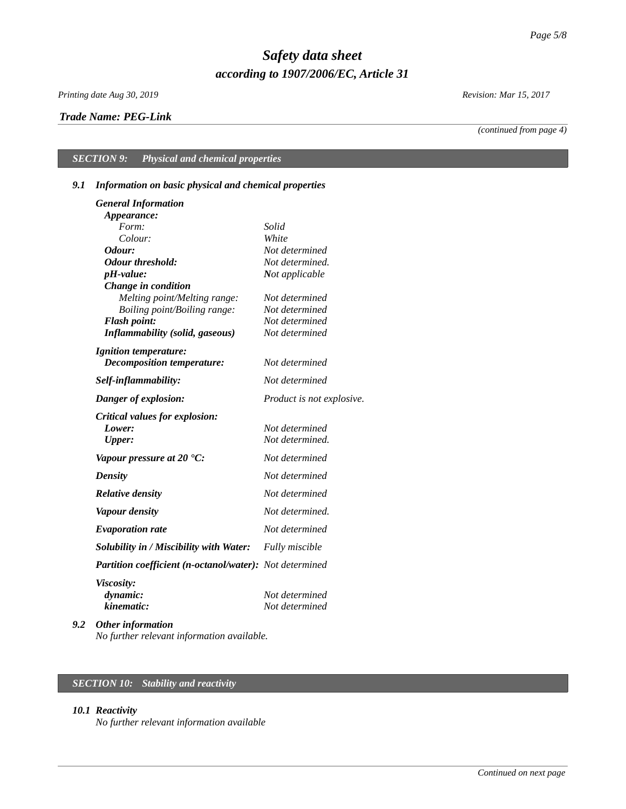*Printing date Aug 30, 2019 Revision: Mar 15, 2017*

## *Trade Name: [PEG-Link](#page-0-0)*

*(continued from page 4)*

# *SECTION 9: Physical and chemical properties*

# *9.1 Information on basic physical and chemical properties*

| <b>General Information</b>                              |                           |
|---------------------------------------------------------|---------------------------|
| Appearance:                                             |                           |
| Form:                                                   | Solid                     |
| Colour:                                                 | White                     |
| Odour:                                                  | Not determined            |
| <b>Odour threshold:</b>                                 | Not determined.           |
| pH-value:                                               | Not applicable            |
| Change in condition                                     |                           |
| Melting point/Melting range:                            | Not determined            |
| Boiling point/Boiling range:                            | Not determined            |
| <b>Flash point:</b>                                     | Not determined            |
| <b>Inflammability (solid, gaseous)</b>                  | Not determined            |
| <b>Ignition temperature:</b>                            |                           |
| Decomposition temperature:                              | Not determined            |
| Self-inflammability:                                    | Not determined            |
| Danger of explosion:                                    | Product is not explosive. |
| <b>Critical values for explosion:</b>                   |                           |
| Lower:                                                  | Not determined            |
| Upper:                                                  | Not determined.           |
| Vapour pressure at 20 $^{\circ}$ C:                     | Not determined            |
| <b>Density</b>                                          | Not determined            |
| <b>Relative density</b>                                 | Not determined            |
| <b>Vapour density</b>                                   | Not determined.           |
| <b>Evaporation rate</b>                                 | Not determined            |
| Solubility in / Miscibility with Water:                 | <b>Fully miscible</b>     |
| Partition coefficient (n-octanol/water): Not determined |                           |
| <b>Viscosity:</b>                                       |                           |
| dynamic:                                                | Not determined            |
| kinematic:                                              | Not determined            |
| $\mathbf{u}$ and $\mathbf{v}$ and $\mathbf{v}$          |                           |

*9.2 Other information No further relevant information available.*

# *SECTION 10: Stability and reactivity*

### *10.1 Reactivity*

*No further relevant information available*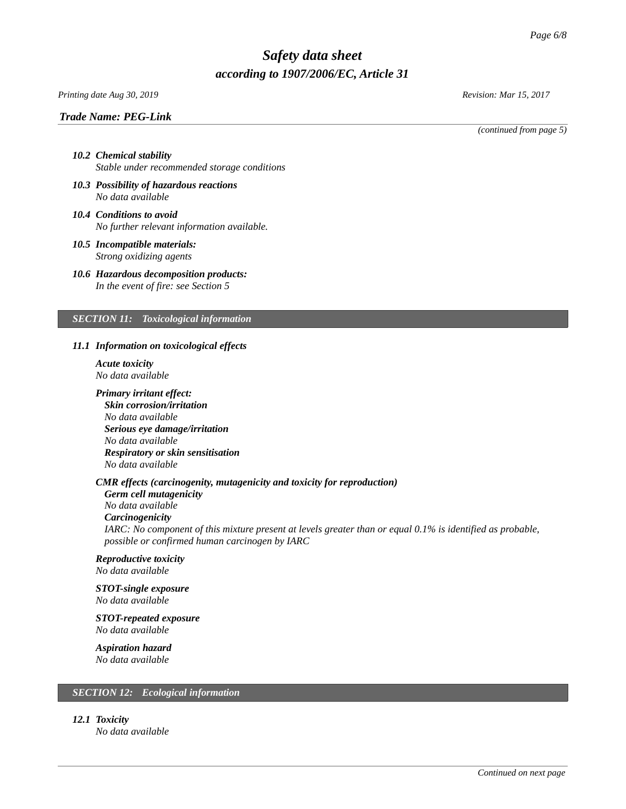### *Printing date Aug 30, 2019 Revision: Mar 15, 2017*

### *Trade Name: [PEG-Link](#page-0-0)*

*(continued from page 5)*

### *10.2 Chemical stability Stable under recommended storage conditions*

- *10.3 Possibility of hazardous reactions No data available*
- *10.4 Conditions to avoid No further relevant information available.*
- *10.5 Incompatible materials: Strong oxidizing agents*
- *10.6 Hazardous decomposition products: In the event of fire: see Section 5*

# *SECTION 11: Toxicological information*

#### *11.1 Information on toxicological effects*

- *Acute toxicity No data available*
- *Primary irritant effect: Skin corrosion/irritation No data available Serious eye damage/irritation No data available Respiratory or skin sensitisation No data available*

### *CMR effects (carcinogenity, mutagenicity and toxicity for reproduction)*

*Germ cell mutagenicity No data available Carcinogenicity IARC: No component of this mixture present at levels greater than or equal 0.1% is identified as probable, possible or confirmed human carcinogen by IARC*

# *Reproductive toxicity*

*No data available*

### *STOT-single exposure No data available*

*STOT-repeated exposure No data available*

# *Aspiration hazard*

*No data available*

## *SECTION 12: Ecological information*

*12.1 Toxicity*

*No data available*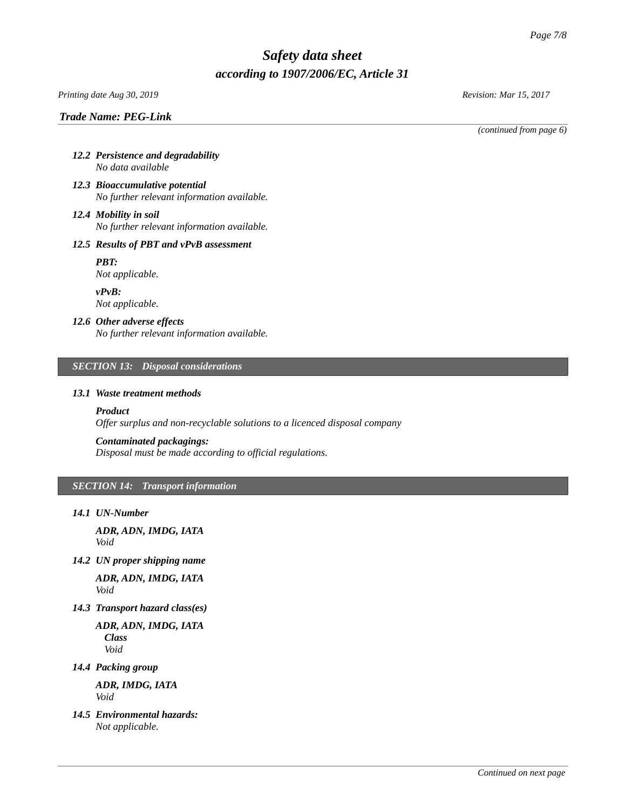*Printing date Aug 30, 2019 Revision: Mar 15, 2017*

*(continued from page 6)*

- *12.2 Persistence and degradability No data available*
- *12.3 Bioaccumulative potential No further relevant information available.*
- *12.4 Mobility in soil No further relevant information available.*

## *12.5 Results of PBT and vPvB assessment*

*PBT: Not applicable.*

*vPvB: Not applicable.*

# *12.6 Other adverse effects*

*No further relevant information available.*

## *SECTION 13: Disposal considerations*

### *13.1 Waste treatment methods*

# *Product*

*Offer surplus and non-recyclable solutions to a licenced disposal company*

## *Contaminated packagings:*

*Disposal must be made according to official regulations.*

# *SECTION 14: Transport information*

*14.1 UN-Number*

*ADR, ADN, IMDG, IATA Void*

*14.2 UN proper shipping name*

*ADR, ADN, IMDG, IATA Void*

*14.3 Transport hazard class(es)*

*ADR, ADN, IMDG, IATA Class Void*

*14.4 Packing group*

*ADR, IMDG, IATA Void*

*14.5 Environmental hazards: Not applicable.*